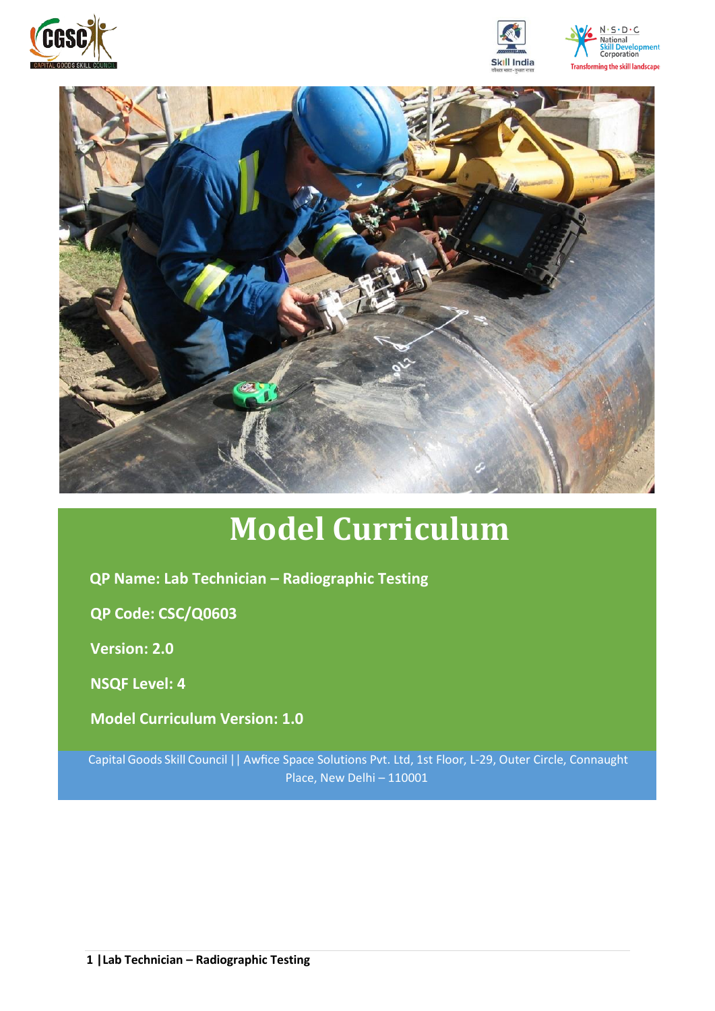





# **Model Curriculum**

**QP Name: Lab Technician – Radiographic Testing** 

**QP Code: CSC/Q0603**

**Version: 2.0**

**NSQF Level: 4**

**Model Curriculum Version: 1.0**

Capital Goods Skill Council || Awfice Space Solutions Pvt. Ltd, 1st Floor, L-29, Outer Circle, Connaught Place, New Delhi – 110001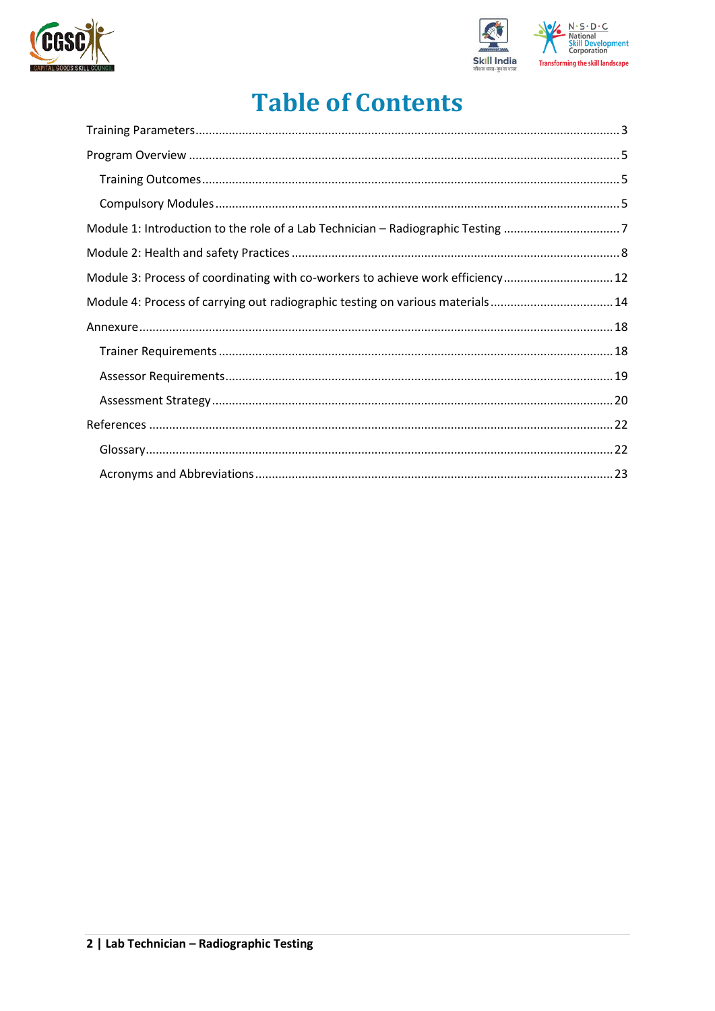



## **Table of Contents**

| Module 1: Introduction to the role of a Lab Technician - Radiographic Testing 7 |  |
|---------------------------------------------------------------------------------|--|
|                                                                                 |  |
| Module 3: Process of coordinating with co-workers to achieve work efficiency 12 |  |
| Module 4: Process of carrying out radiographic testing on various materials14   |  |
|                                                                                 |  |
|                                                                                 |  |
|                                                                                 |  |
|                                                                                 |  |
|                                                                                 |  |
|                                                                                 |  |
|                                                                                 |  |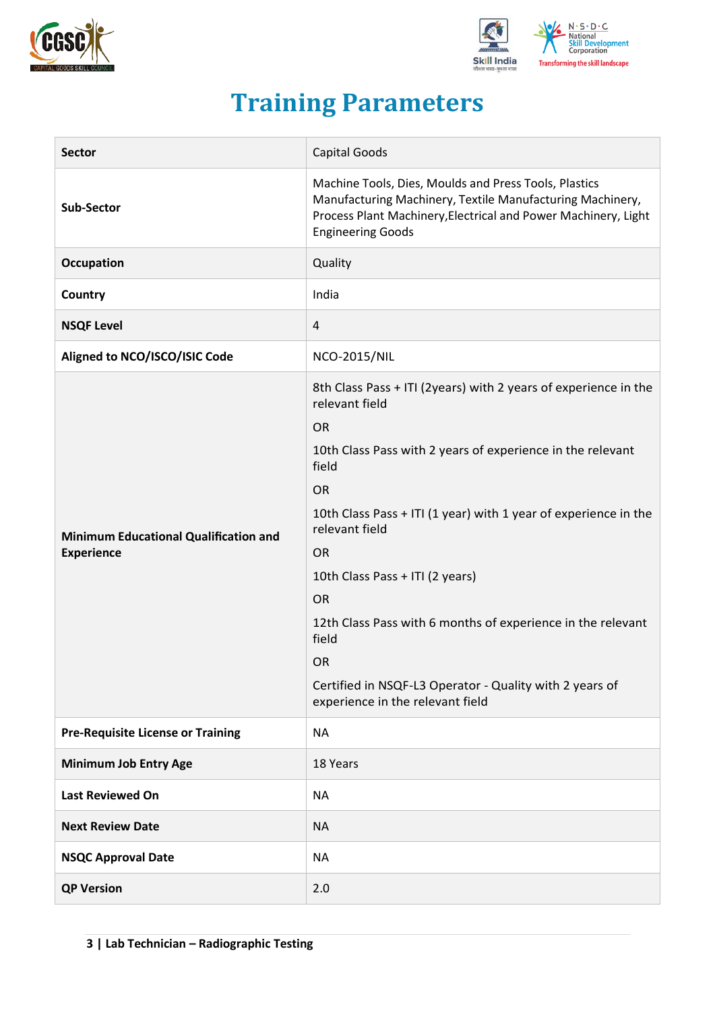



## **Training Parameters**

<span id="page-2-0"></span>

| <b>Sector</b>                                                     | Capital Goods                                                                                                                                                                                                                                                                                                                                   |  |  |  |
|-------------------------------------------------------------------|-------------------------------------------------------------------------------------------------------------------------------------------------------------------------------------------------------------------------------------------------------------------------------------------------------------------------------------------------|--|--|--|
| <b>Sub-Sector</b>                                                 | Machine Tools, Dies, Moulds and Press Tools, Plastics<br>Manufacturing Machinery, Textile Manufacturing Machinery,<br>Process Plant Machinery, Electrical and Power Machinery, Light<br><b>Engineering Goods</b>                                                                                                                                |  |  |  |
| Occupation                                                        | Quality                                                                                                                                                                                                                                                                                                                                         |  |  |  |
| Country                                                           | India                                                                                                                                                                                                                                                                                                                                           |  |  |  |
| <b>NSQF Level</b>                                                 | $\overline{4}$                                                                                                                                                                                                                                                                                                                                  |  |  |  |
| Aligned to NCO/ISCO/ISIC Code                                     | <b>NCO-2015/NIL</b>                                                                                                                                                                                                                                                                                                                             |  |  |  |
|                                                                   | 8th Class Pass + ITI (2years) with 2 years of experience in the<br>relevant field<br><b>OR</b><br>10th Class Pass with 2 years of experience in the relevant<br>field                                                                                                                                                                           |  |  |  |
| <b>Minimum Educational Qualification and</b><br><b>Experience</b> | <b>OR</b><br>10th Class Pass + ITI (1 year) with 1 year of experience in the<br>relevant field<br><b>OR</b><br>10th Class Pass + ITI (2 years)<br><b>OR</b><br>12th Class Pass with 6 months of experience in the relevant<br>field<br><b>OR</b><br>Certified in NSQF-L3 Operator - Quality with 2 years of<br>experience in the relevant field |  |  |  |
| <b>Pre-Requisite License or Training</b>                          | <b>NA</b>                                                                                                                                                                                                                                                                                                                                       |  |  |  |
| <b>Minimum Job Entry Age</b>                                      | 18 Years                                                                                                                                                                                                                                                                                                                                        |  |  |  |
| <b>Last Reviewed On</b>                                           | <b>NA</b>                                                                                                                                                                                                                                                                                                                                       |  |  |  |
| <b>Next Review Date</b>                                           | <b>NA</b>                                                                                                                                                                                                                                                                                                                                       |  |  |  |
| <b>NSQC Approval Date</b>                                         | <b>NA</b>                                                                                                                                                                                                                                                                                                                                       |  |  |  |
| <b>QP Version</b>                                                 | 2.0                                                                                                                                                                                                                                                                                                                                             |  |  |  |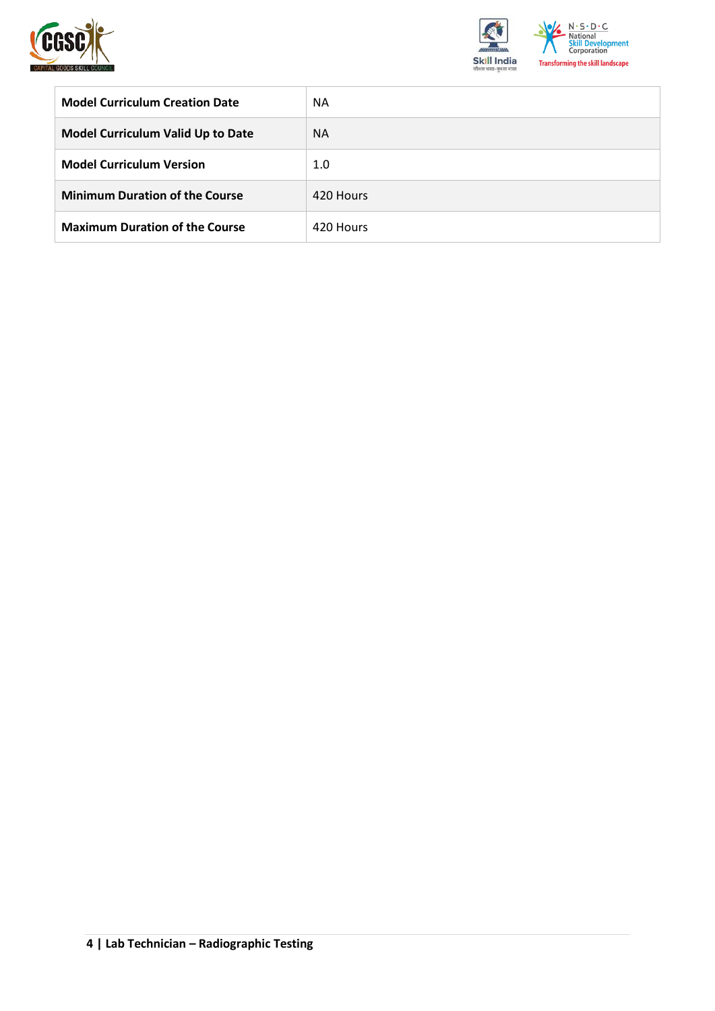



| <b>Model Curriculum Creation Date</b>    | <b>NA</b> |
|------------------------------------------|-----------|
| <b>Model Curriculum Valid Up to Date</b> | <b>NA</b> |
| <b>Model Curriculum Version</b>          | 1.0       |
| <b>Minimum Duration of the Course</b>    | 420 Hours |
| <b>Maximum Duration of the Course</b>    | 420 Hours |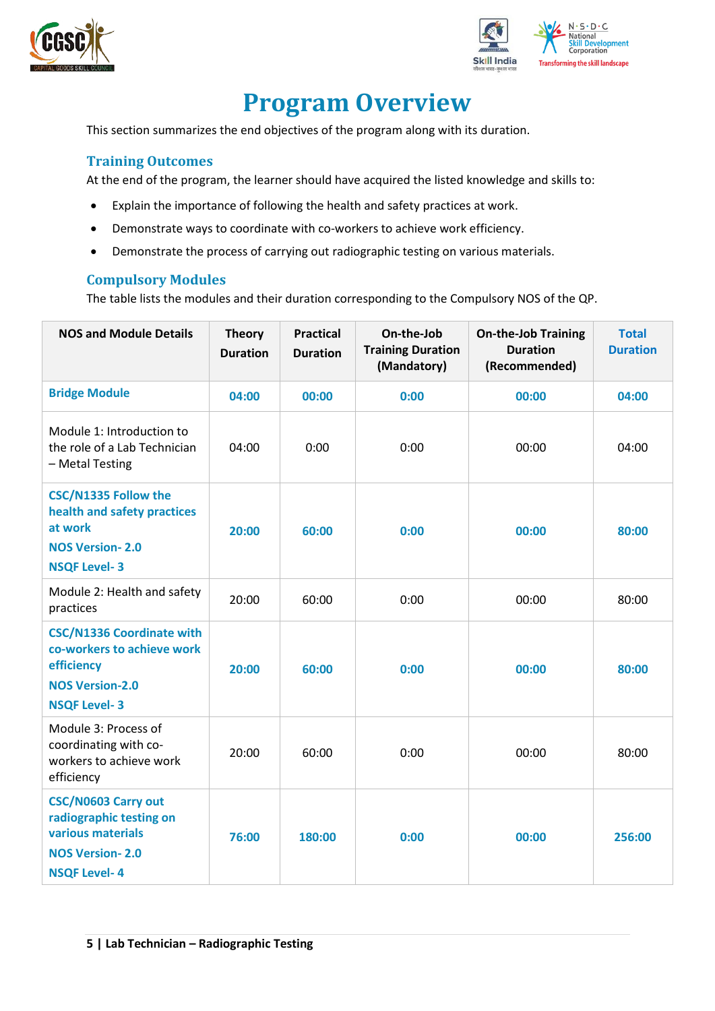



## **Program Overview**

<span id="page-4-0"></span>This section summarizes the end objectives of the program along with its duration.

#### <span id="page-4-1"></span>**Training Outcomes**

At the end of the program, the learner should have acquired the listed knowledge and skills to:

- Explain the importance of following the health and safety practices at work.
- Demonstrate ways to coordinate with co-workers to achieve work efficiency.
- Demonstrate the process of carrying out radiographic testing on various materials.

#### <span id="page-4-2"></span>**Compulsory Modules**

The table lists the modules and their duration corresponding to the Compulsory NOS of the QP.

| <b>NOS and Module Details</b>                                                                                                 | <b>Theory</b><br><b>Duration</b> | <b>Practical</b><br><b>Duration</b> | On-the-Job<br><b>Training Duration</b><br>(Mandatory) | <b>On-the-Job Training</b><br><b>Duration</b><br>(Recommended) | <b>Total</b><br><b>Duration</b> |
|-------------------------------------------------------------------------------------------------------------------------------|----------------------------------|-------------------------------------|-------------------------------------------------------|----------------------------------------------------------------|---------------------------------|
| <b>Bridge Module</b>                                                                                                          | 04:00                            | 00:00                               | 0:00                                                  | 00:00                                                          | 04:00                           |
| Module 1: Introduction to<br>the role of a Lab Technician<br>- Metal Testing                                                  | 04:00                            | 0:00                                | 0:00                                                  | 00:00                                                          | 04:00                           |
| <b>CSC/N1335 Follow the</b><br>health and safety practices<br>at work<br><b>NOS Version-2.0</b><br><b>NSQF Level-3</b>        | 20:00                            | 60:00                               | 0:00                                                  | 00:00                                                          | 80:00                           |
| Module 2: Health and safety<br>practices                                                                                      | 20:00                            | 60:00                               | 0:00                                                  | 00:00                                                          | 80:00                           |
| <b>CSC/N1336 Coordinate with</b><br>co-workers to achieve work<br>efficiency<br><b>NOS Version-2.0</b><br><b>NSQF Level-3</b> | 20:00                            | 60:00                               | 0:00                                                  | 00:00                                                          | 80:00                           |
| Module 3: Process of<br>coordinating with co-<br>workers to achieve work<br>efficiency                                        | 20:00                            | 60:00                               | 0:00                                                  | 00:00                                                          | 80:00                           |
| <b>CSC/N0603 Carry out</b><br>radiographic testing on<br>various materials<br><b>NOS Version-2.0</b><br><b>NSQF Level-4</b>   | 76:00                            | 180:00                              | 0:00                                                  | 00:00                                                          | 256:00                          |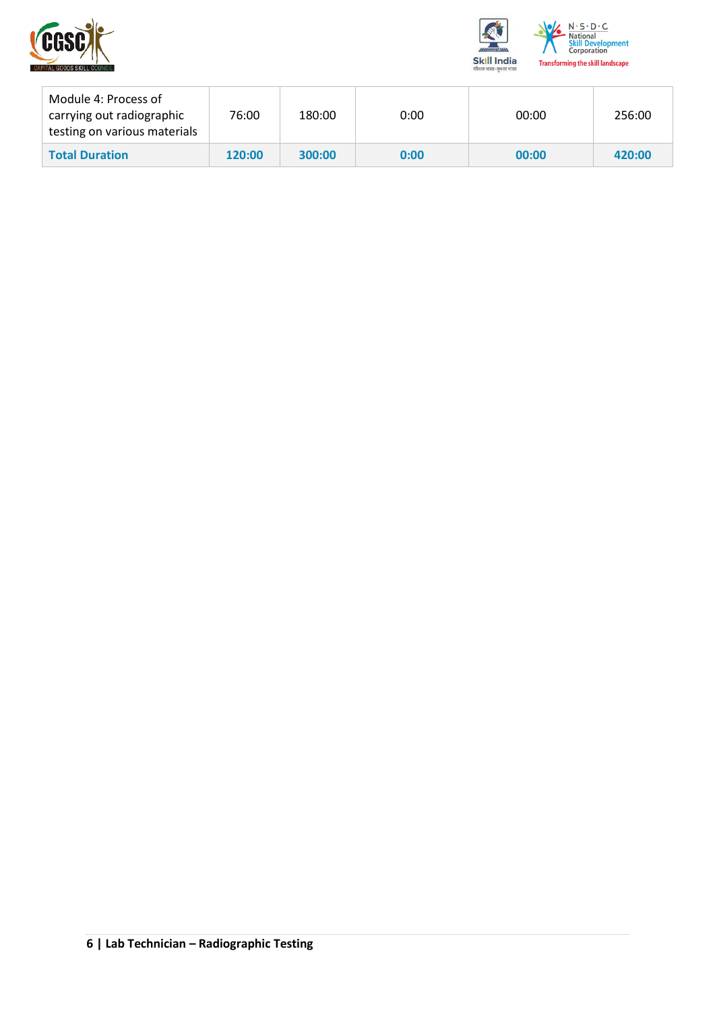



| Module 4: Process of<br>carrying out radiographic<br>testing on various materials | 76:00  | 180:00 | 0:00 | 00:00 | 256:00 |
|-----------------------------------------------------------------------------------|--------|--------|------|-------|--------|
| <b>Total Duration</b>                                                             | 120:00 | 300:00 | 0:00 | 00:00 | 420:00 |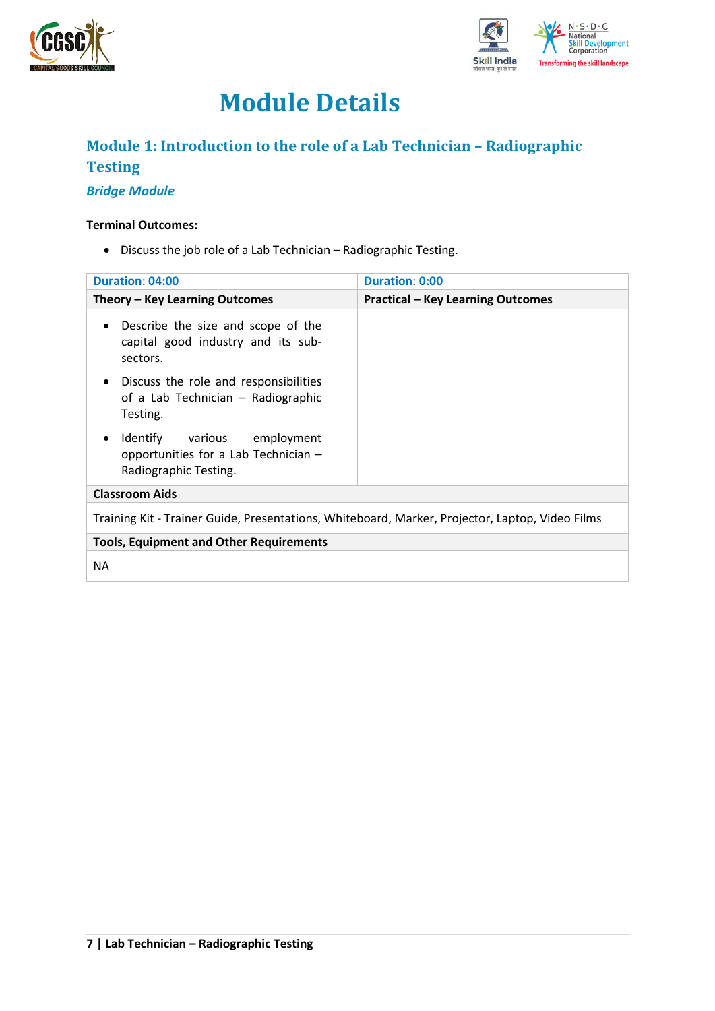



## **Module Details**

### <span id="page-6-0"></span>**Module 1: Introduction to the role of a Lab Technician – Radiographic Testing**

#### *Bridge Module*

#### **Terminal Outcomes:**

• Discuss the job role of a Lab Technician – Radiographic Testing.

| <b>Duration: 04:00</b>                                                                                    | <b>Duration: 0:00</b>                    |
|-----------------------------------------------------------------------------------------------------------|------------------------------------------|
| Theory – Key Learning Outcomes                                                                            | <b>Practical - Key Learning Outcomes</b> |
| Describe the size and scope of the<br>$\bullet$<br>capital good industry and its sub-<br>sectors.         |                                          |
| Discuss the role and responsibilities<br>$\bullet$<br>of a Lab Technician - Radiographic<br>Testing.      |                                          |
| Identify various employment<br>$\bullet$<br>opportunities for a Lab Technician -<br>Radiographic Testing. |                                          |
| <b>Classroom Aids</b>                                                                                     |                                          |
| Training Kit - Trainer Guide, Presentations, Whiteboard, Marker, Projector, Laptop, Video Films           |                                          |
| <b>Tools, Equipment and Other Requirements</b>                                                            |                                          |
| <b>NA</b>                                                                                                 |                                          |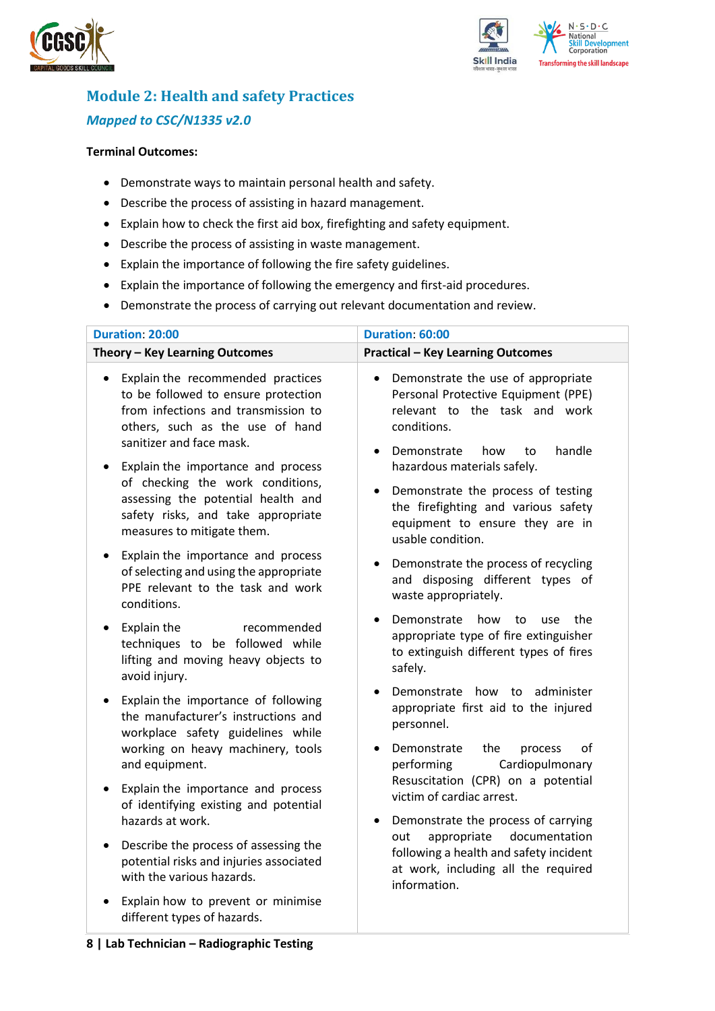



## <span id="page-7-0"></span>**Module 2: Health and safety Practices** *Mapped to CSC/N1335 v2.0*

#### **Terminal Outcomes:**

- Demonstrate ways to maintain personal health and safety.
- Describe the process of assisting in hazard management.
- Explain how to check the first aid box, firefighting and safety equipment.
- Describe the process of assisting in waste management.
- Explain the importance of following the fire safety guidelines.
- Explain the importance of following the emergency and first-aid procedures.
- Demonstrate the process of carrying out relevant documentation and review.

| <b>Duration: 20:00</b>                                                                                                                                                                      | Duration: 60:00                                                                                                                                                                           |  |  |  |
|---------------------------------------------------------------------------------------------------------------------------------------------------------------------------------------------|-------------------------------------------------------------------------------------------------------------------------------------------------------------------------------------------|--|--|--|
| Theory - Key Learning Outcomes                                                                                                                                                              | <b>Practical - Key Learning Outcomes</b>                                                                                                                                                  |  |  |  |
| Explain the recommended practices<br>$\bullet$<br>to be followed to ensure protection<br>from infections and transmission to<br>others, such as the use of hand<br>sanitizer and face mask. | Demonstrate the use of appropriate<br>$\bullet$<br>Personal Protective Equipment (PPE)<br>relevant to the task and work<br>conditions.<br>Demonstrate<br>handle<br>how<br>to<br>$\bullet$ |  |  |  |
| Explain the importance and process<br>of checking the work conditions,<br>assessing the potential health and<br>safety risks, and take appropriate<br>measures to mitigate them.            | hazardous materials safely.<br>Demonstrate the process of testing<br>$\bullet$<br>the firefighting and various safety<br>equipment to ensure they are in<br>usable condition.             |  |  |  |
| Explain the importance and process<br>$\bullet$<br>of selecting and using the appropriate<br>PPE relevant to the task and work<br>conditions.                                               | Demonstrate the process of recycling<br>and disposing different types of<br>waste appropriately.                                                                                          |  |  |  |
| Explain the<br>recommended<br>$\bullet$<br>techniques to be followed while<br>lifting and moving heavy objects to<br>avoid injury.                                                          | Demonstrate<br>how<br>to<br>the<br><b>use</b><br>appropriate type of fire extinguisher<br>to extinguish different types of fires<br>safely.                                               |  |  |  |
| Explain the importance of following<br>$\bullet$<br>the manufacturer's instructions and<br>workplace safety guidelines while<br>working on heavy machinery, tools<br>and equipment.         | Demonstrate how to administer<br>appropriate first aid to the injured<br>personnel.<br>οf<br>Demonstrate<br>the<br>process<br>performing<br>Cardiopulmonary                               |  |  |  |
| Explain the importance and process<br>$\bullet$<br>of identifying existing and potential<br>hazards at work.                                                                                | Resuscitation (CPR) on a potential<br>victim of cardiac arrest.<br>Demonstrate the process of carrying<br>$\bullet$                                                                       |  |  |  |
| Describe the process of assessing the<br>$\bullet$<br>potential risks and injuries associated<br>with the various hazards.                                                                  | documentation<br>appropriate<br>out<br>following a health and safety incident<br>at work, including all the required<br>information.                                                      |  |  |  |
| Explain how to prevent or minimise<br>different types of hazards.                                                                                                                           |                                                                                                                                                                                           |  |  |  |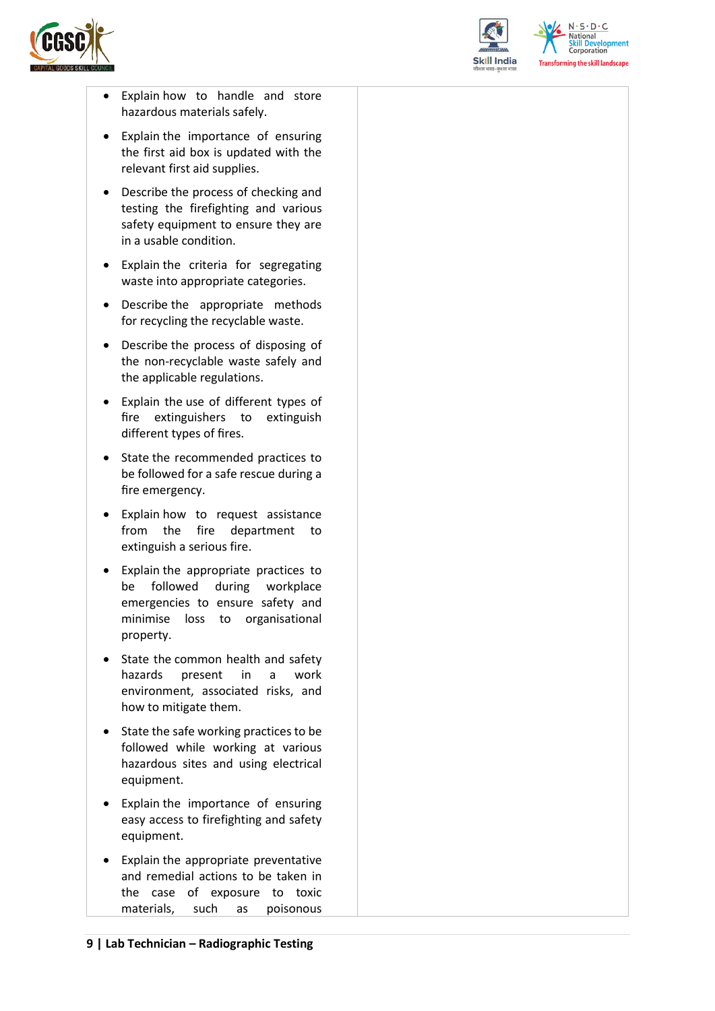



 $N.5.0.6$ **Skill Development**<br>Corporation **Transforming the skill landscape** 

- Explain how to handle and store hazardous materials safely.
- Explain the importance of ensuring the first aid box is updated with the relevant first aid supplies.
- Describe the process of checking and testing the firefighting and various safety equipment to ensure they are in a usable condition.
- Explain the criteria for segregating waste into appropriate categories.
- Describe the appropriate methods for recycling the recyclable waste.
- Describe the process of disposing of the non-recyclable waste safely and the applicable regulations.
- Explain the use of different types of fire extinguishers to extinguish different types of fires.
- State the recommended practices to be followed for a safe rescue during a fire emergency.
- Explain how to request assistance from the fire department to extinguish a serious fire.
- Explain the appropriate practices to be followed during workplace emergencies to ensure safety and minimise loss to organisational property.
- State the common health and safety hazards present in a work environment, associated risks, and how to mitigate them.
- State the safe working practices to be followed while working at various hazardous sites and using electrical equipment.
- Explain the importance of ensuring easy access to firefighting and safety equipment.
- Explain the appropriate preventative and remedial actions to be taken in the case of exposure to toxic materials, such as poisonous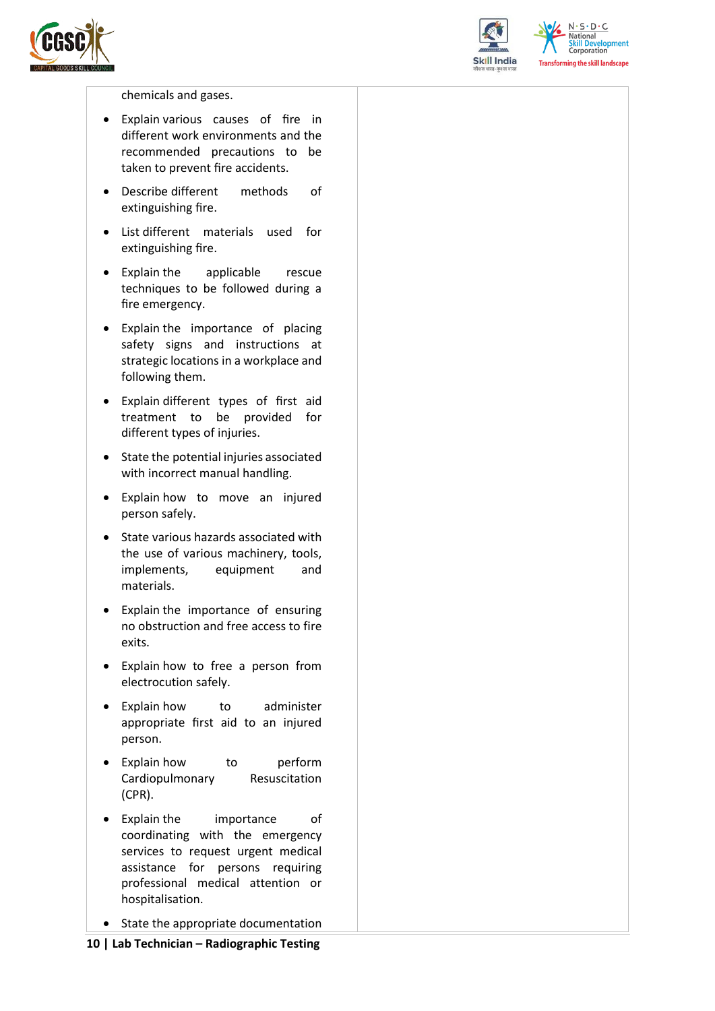



 $N.5.0.6$ National **Skill Development**<br>Corporation **Transforming the skill landscape** 

chemicals and gases.

- Explain various causes of fire in different work environments and the recommended precautions to be taken to prevent fire accidents.
- Describe different methods of extinguishing fire.
- List different materials used for extinguishing fire.
- Explain the applicable rescue techniques to be followed during a fire emergency.
- Explain the importance of placing safety signs and instructions at strategic locations in a workplace and following them.
- Explain different types of first aid treatment to be provided for different types of injuries.
- State the potential injuries associated with incorrect manual handling.
- Explain how to move an injured person safely.
- State various hazards associated with the use of various machinery, tools, implements, equipment and materials.
- Explain the importance of ensuring no obstruction and free access to fire exits.
- Explain how to free a person from electrocution safely.
- Explain how to administer appropriate first aid to an injured person.
- Explain how to perform Cardiopulmonary Resuscitation (CPR).
- Explain the importance of coordinating with the emergency services to request urgent medical assistance for persons requiring professional medical attention or hospitalisation.
- State the appropriate documentation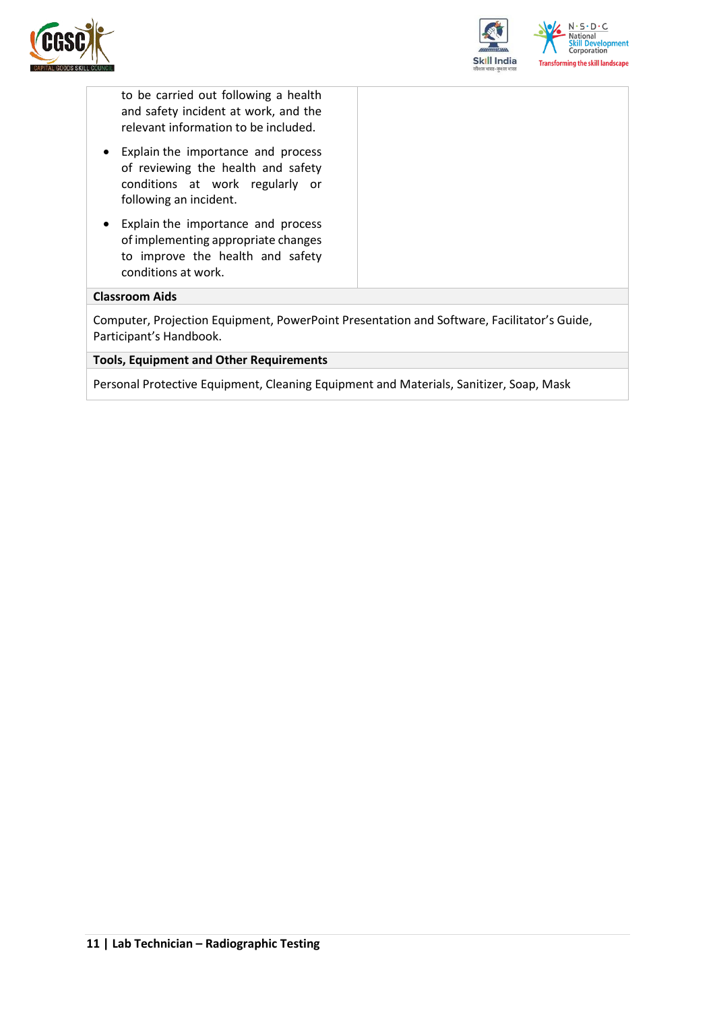



to be carried out following a health and safety incident at work, and the relevant information to be included.

- Explain the importance and process of reviewing the health and safety conditions at work regularly or following an incident.
- Explain the importance and process of implementing appropriate changes to improve the health and safety conditions at work.

#### **Classroom Aids**

Computer, Projection Equipment, PowerPoint Presentation and Software, Facilitator's Guide, Participant's Handbook.

#### **Tools, Equipment and Other Requirements**

Personal Protective Equipment, Cleaning Equipment and Materials, Sanitizer, Soap, Mask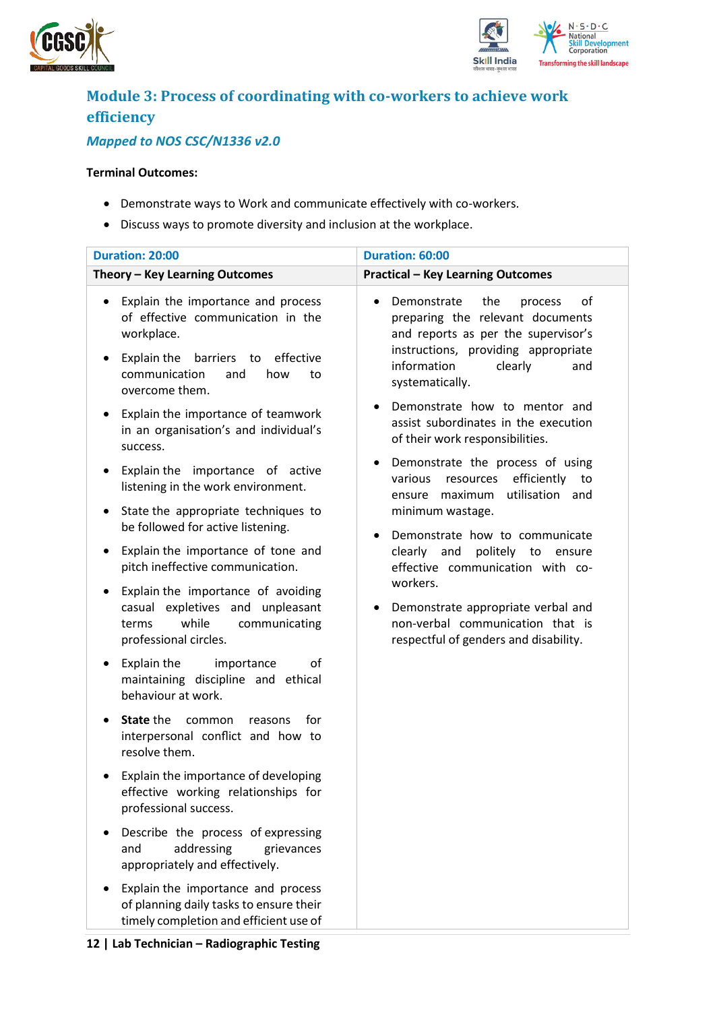



## <span id="page-11-0"></span>**Module 3: Process of coordinating with co-workers to achieve work efficiency**

### *Mapped to NOS CSC/N1336 v2.0*

#### **Terminal Outcomes:**

- Demonstrate ways to Work and communicate effectively with co-workers.
- Discuss ways to promote diversity and inclusion at the workplace.

| <b>Duration: 20:00</b>                                                                                                                                                                                                                                    | Duration: 60:00                                                                                                                                                                                                                            |  |  |
|-----------------------------------------------------------------------------------------------------------------------------------------------------------------------------------------------------------------------------------------------------------|--------------------------------------------------------------------------------------------------------------------------------------------------------------------------------------------------------------------------------------------|--|--|
| Theory - Key Learning Outcomes                                                                                                                                                                                                                            | <b>Practical - Key Learning Outcomes</b>                                                                                                                                                                                                   |  |  |
| Explain the importance and process<br>٠<br>of effective communication in the<br>workplace.<br>Explain the<br>barriers to effective<br>$\bullet$<br>communication<br>how<br>and<br>to<br>overcome them.<br>Explain the importance of teamwork<br>$\bullet$ | Demonstrate<br>the<br>of<br>process<br>preparing the relevant documents<br>and reports as per the supervisor's<br>instructions, providing appropriate<br>information<br>clearly<br>and<br>systematically.<br>Demonstrate how to mentor and |  |  |
| in an organisation's and individual's<br>success.<br>Explain the importance of active<br>٠                                                                                                                                                                | assist subordinates in the execution<br>of their work responsibilities.<br>Demonstrate the process of using<br>٠<br>efficiently<br>various<br>resources<br>to                                                                              |  |  |
| listening in the work environment.<br>State the appropriate techniques to<br>٠                                                                                                                                                                            | utilisation and<br>maximum<br>ensure<br>minimum wastage.                                                                                                                                                                                   |  |  |
| be followed for active listening.<br>Explain the importance of tone and<br>٠<br>pitch ineffective communication.                                                                                                                                          | Demonstrate how to communicate<br>politely<br>clearly<br>and<br>to<br>ensure<br>effective communication with co-                                                                                                                           |  |  |
| Explain the importance of avoiding<br>٠<br>casual expletives and unpleasant<br>while<br>communicating<br>terms<br>professional circles.                                                                                                                   | workers.<br>Demonstrate appropriate verbal and<br>non-verbal communication that is<br>respectful of genders and disability.                                                                                                                |  |  |
| Explain the<br>οf<br>importance<br>maintaining discipline and ethical<br>behaviour at work.                                                                                                                                                               |                                                                                                                                                                                                                                            |  |  |
| State the<br>common<br>for<br>reasons<br>$\bullet$<br>interpersonal conflict and how to<br>resolve them.                                                                                                                                                  |                                                                                                                                                                                                                                            |  |  |
| Explain the importance of developing<br>٠<br>effective working relationships for<br>professional success.                                                                                                                                                 |                                                                                                                                                                                                                                            |  |  |
| Describe the process of expressing<br>addressing<br>and<br>grievances<br>appropriately and effectively.                                                                                                                                                   |                                                                                                                                                                                                                                            |  |  |
| Explain the importance and process<br>of planning daily tasks to ensure their<br>timely completion and efficient use of                                                                                                                                   |                                                                                                                                                                                                                                            |  |  |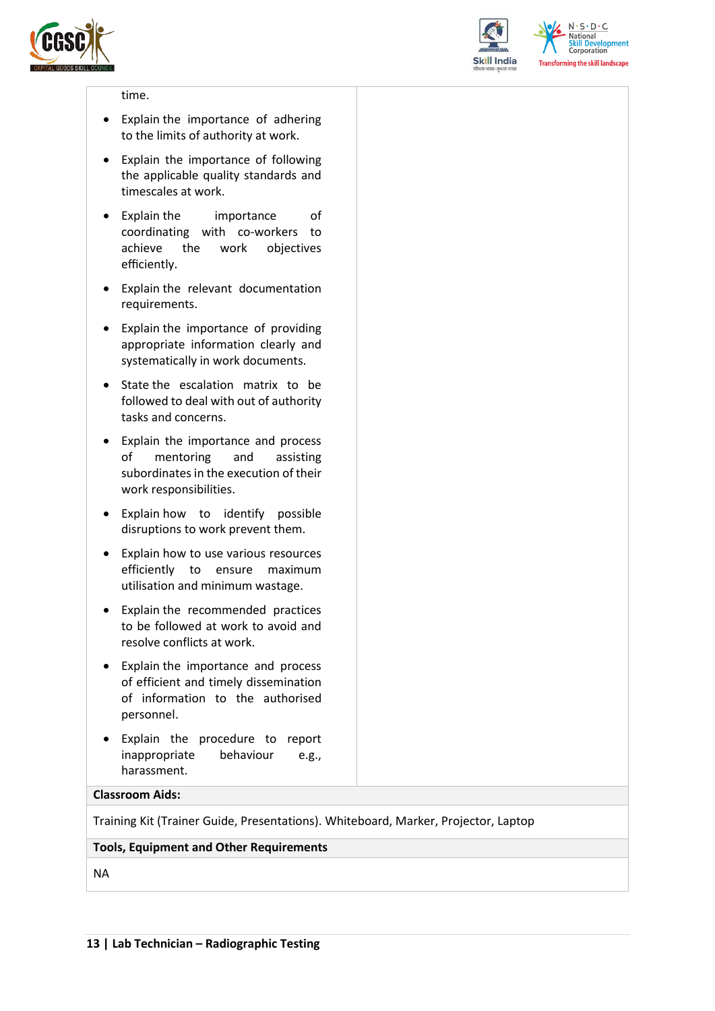



 $N.5.0.6$ **National Skill Development**<br>Corporation **Transforming the skill landscape** 

#### time.

- Explain the importance of adhering to the limits of authority at work.
- Explain the importance of following the applicable quality standards and timescales at work.
- Explain the importance of coordinating with co-workers to achieve the work objectives efficiently.
- Explain the relevant documentation requirements.
- Explain the importance of providing appropriate information clearly and systematically in work documents.
- State the escalation matrix to be followed to deal with out of authority tasks and concerns.
- Explain the importance and process of mentoring and assisting subordinates in the execution of their work responsibilities.
- Explain how to identify possible disruptions to work prevent them.
- Explain how to use various resources efficiently to ensure maximum utilisation and minimum wastage.
- Explain the recommended practices to be followed at work to avoid and resolve conflicts at work.
- Explain the importance and process of efficient and timely dissemination of information to the authorised personnel.
- Explain the procedure to report inappropriate behaviour e.g., harassment.

#### **Classroom Aids:**

Training Kit (Trainer Guide, Presentations). Whiteboard, Marker, Projector, Laptop

#### **Tools, Equipment and Other Requirements**

NA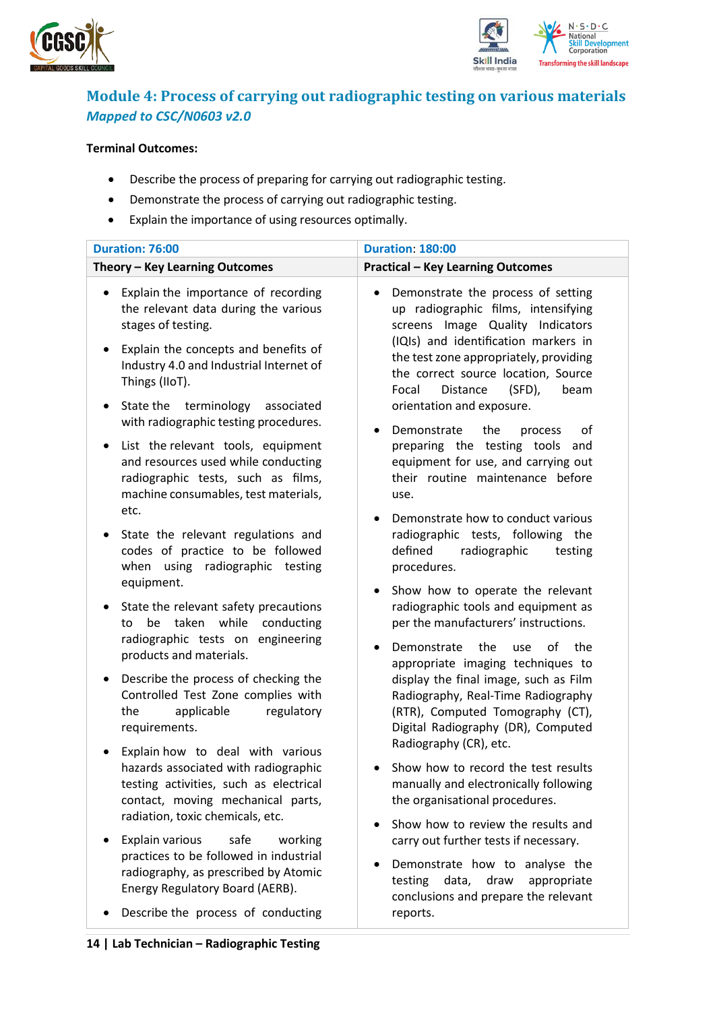



### <span id="page-13-0"></span>**Module 4: Process of carrying out radiographic testing on various materials** *Mapped to CSC/N0603 v2.0*

#### **Terminal Outcomes:**

- Describe the process of preparing for carrying out radiographic testing.
- Demonstrate the process of carrying out radiographic testing.
- Explain the importance of using resources optimally.

| Duration: 76:00                                                                                                                                                                                                                                    | <b>Duration: 180:00</b>                                                                                                                                                                                                                                                                                       |
|----------------------------------------------------------------------------------------------------------------------------------------------------------------------------------------------------------------------------------------------------|---------------------------------------------------------------------------------------------------------------------------------------------------------------------------------------------------------------------------------------------------------------------------------------------------------------|
| Theory - Key Learning Outcomes                                                                                                                                                                                                                     | <b>Practical - Key Learning Outcomes</b>                                                                                                                                                                                                                                                                      |
|                                                                                                                                                                                                                                                    |                                                                                                                                                                                                                                                                                                               |
| Explain the importance of recording<br>the relevant data during the various<br>stages of testing.<br>Explain the concepts and benefits of<br>٠<br>Industry 4.0 and Industrial Internet of<br>Things (IIoT).<br>State the terminology<br>associated | Demonstrate the process of setting<br>up radiographic films, intensifying<br>screens Image Quality Indicators<br>(IQIs) and identification markers in<br>the test zone appropriately, providing<br>the correct source location, Source<br>$(SFD)$ ,<br>Distance<br>Focal<br>beam<br>orientation and exposure. |
| with radiographic testing procedures.                                                                                                                                                                                                              | Demonstrate<br>the<br>οf<br>process                                                                                                                                                                                                                                                                           |
| List the relevant tools, equipment<br>and resources used while conducting<br>radiographic tests, such as films,<br>machine consumables, test materials,<br>etc.                                                                                    | preparing the testing tools<br>and<br>equipment for use, and carrying out<br>their routine maintenance before<br>use.                                                                                                                                                                                         |
| State the relevant regulations and<br>codes of practice to be followed<br>radiographic testing<br>when<br>using                                                                                                                                    | Demonstrate how to conduct various<br>radiographic tests, following the<br>defined<br>radiographic<br>testing<br>procedures.                                                                                                                                                                                  |
| equipment.<br>State the relevant safety precautions<br>٠<br>while<br>taken<br>conducting<br>be<br>to<br>radiographic tests on engineering<br>products and materials.                                                                               | Show how to operate the relevant<br>$\bullet$<br>radiographic tools and equipment as<br>per the manufacturers' instructions.<br>Demonstrate<br>the<br>οf<br>the<br>use                                                                                                                                        |
| Describe the process of checking the<br>$\bullet$<br>Controlled Test Zone complies with<br>regulatory<br>the<br>applicable<br>requirements.                                                                                                        | appropriate imaging techniques to<br>display the final image, such as Film<br>Radiography, Real-Time Radiography<br>(RTR), Computed Tomography (CT),<br>Digital Radiography (DR), Computed                                                                                                                    |
| Explain how to deal with various<br>hazards associated with radiographic<br>testing activities, such as electrical<br>contact, moving mechanical parts,<br>radiation, toxic chemicals, etc.                                                        | Radiography (CR), etc.<br>Show how to record the test results<br>manually and electronically following<br>the organisational procedures.                                                                                                                                                                      |
| Explain various<br>safe<br>working                                                                                                                                                                                                                 | Show how to review the results and<br>carry out further tests if necessary.                                                                                                                                                                                                                                   |
| practices to be followed in industrial<br>radiography, as prescribed by Atomic<br>Energy Regulatory Board (AERB).                                                                                                                                  | Demonstrate how to analyse the<br>testing<br>data,<br>draw<br>appropriate<br>conclusions and prepare the relevant                                                                                                                                                                                             |
| Describe the process of conducting                                                                                                                                                                                                                 | reports.                                                                                                                                                                                                                                                                                                      |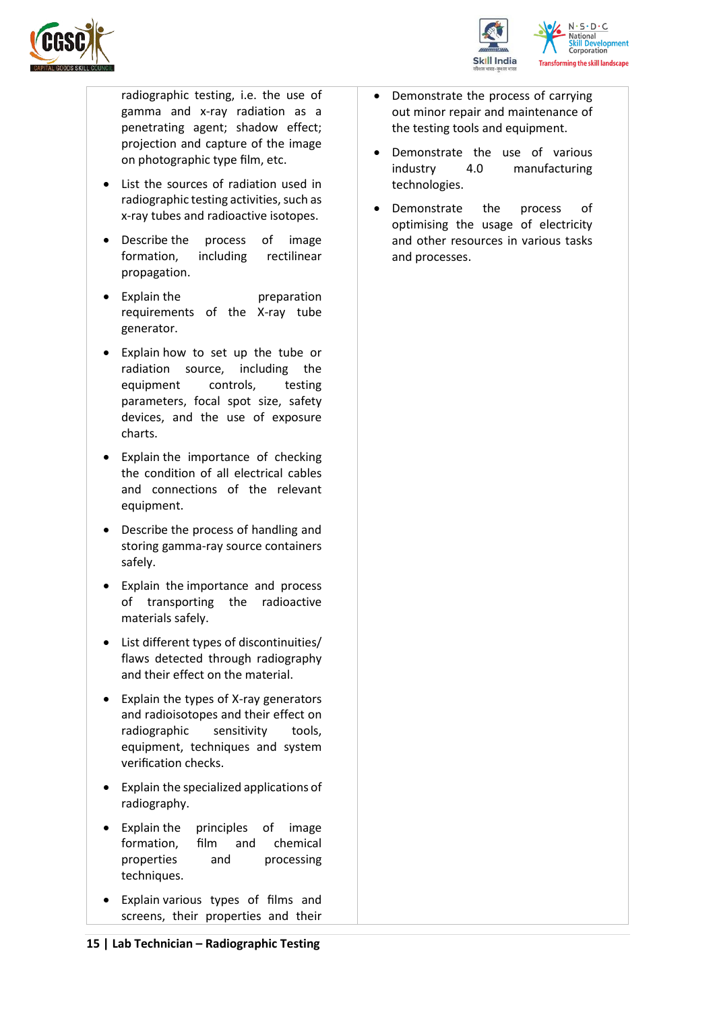



radiographic testing, i.e. the use of gamma and x-ray radiation as a penetrating agent; shadow effect; projection and capture of the image on photographic type film, etc.

- List the sources of radiation used in radiographic testing activities, such as x-ray tubes and radioactive isotopes.
- Describe the process of image formation, including rectilinear propagation.
- Explain the preparation requirements of the X-ray tube generator.
- Explain how to set up the tube or radiation source, including the equipment controls, testing parameters, focal spot size, safety devices, and the use of exposure charts.
- Explain the importance of checking the condition of all electrical cables and connections of the relevant equipment.
- Describe the process of handling and storing gamma-ray source containers safely.
- Explain the importance and process of transporting the radioactive materials safely.
- List different types of discontinuities/ flaws detected through radiography and their effect on the material.
- Explain the types of X-ray generators and radioisotopes and their effect on radiographic sensitivity tools, equipment, techniques and system verification checks.
- Explain the specialized applications of radiography.
- Explain the principles of image formation, film and chemical properties and processing techniques.
- Explain various types of films and screens, their properties and their
- Demonstrate the process of carrying out minor repair and maintenance of the testing tools and equipment.
- Demonstrate the use of various industry 4.0 manufacturing technologies.
- Demonstrate the process of optimising the usage of electricity and other resources in various tasks and processes.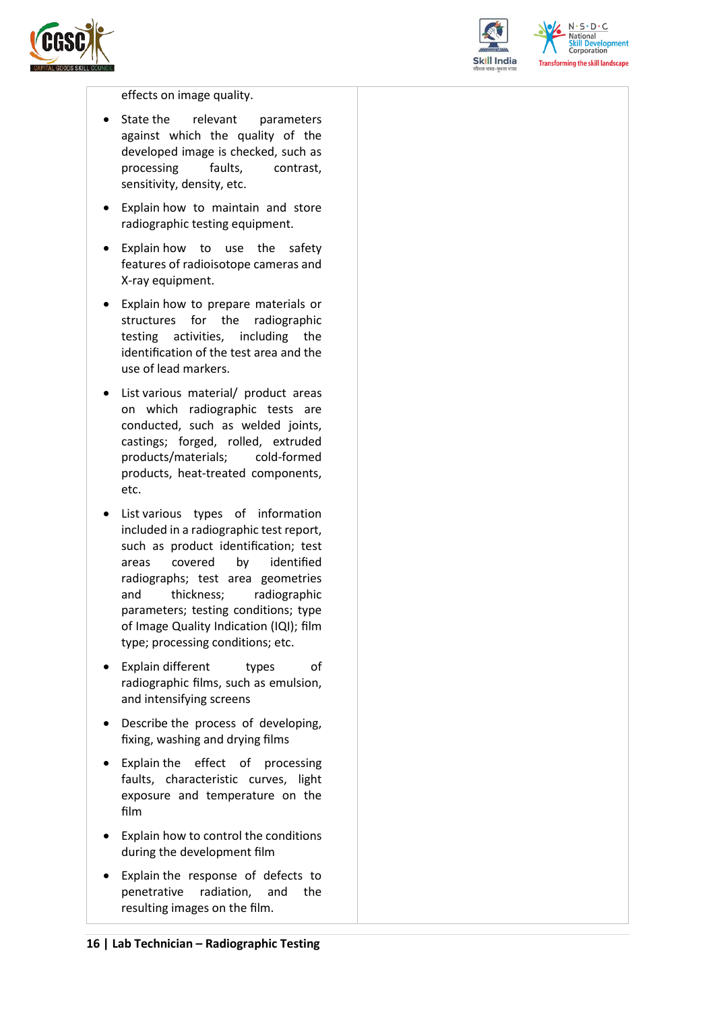



 $N.5.0.6$ National **Skill Development**<br>Corporation **Transforming the skill landscape** 

#### effects on image quality.

- State the relevant parameters against which the quality of the developed image is checked, such as processing faults, contrast, sensitivity, density, etc.
- Explain how to maintain and store radiographic testing equipment.
- Explain how to use the safety features of radioisotope cameras and X-ray equipment.
- Explain how to prepare materials or structures for the radiographic testing activities, including the identification of the test area and the use of lead markers.
- List various material/ product areas on which radiographic tests are conducted, such as welded joints, castings; forged, rolled, extruded products/materials; cold-formed products, heat-treated components, etc.
- List various types of information included in a radiographic test report, such as product identification; test areas covered by identified radiographs; test area geometries and thickness; radiographic parameters; testing conditions; type of Image Quality Indication (IQI); film type; processing conditions; etc.
- Explain different types of radiographic films, such as emulsion, and intensifying screens
- Describe the process of developing, fixing, washing and drying films
- Explain the effect of processing faults, characteristic curves, light exposure and temperature on the film
- Explain how to control the conditions during the development film
- Explain the response of defects to penetrative radiation, and the resulting images on the film.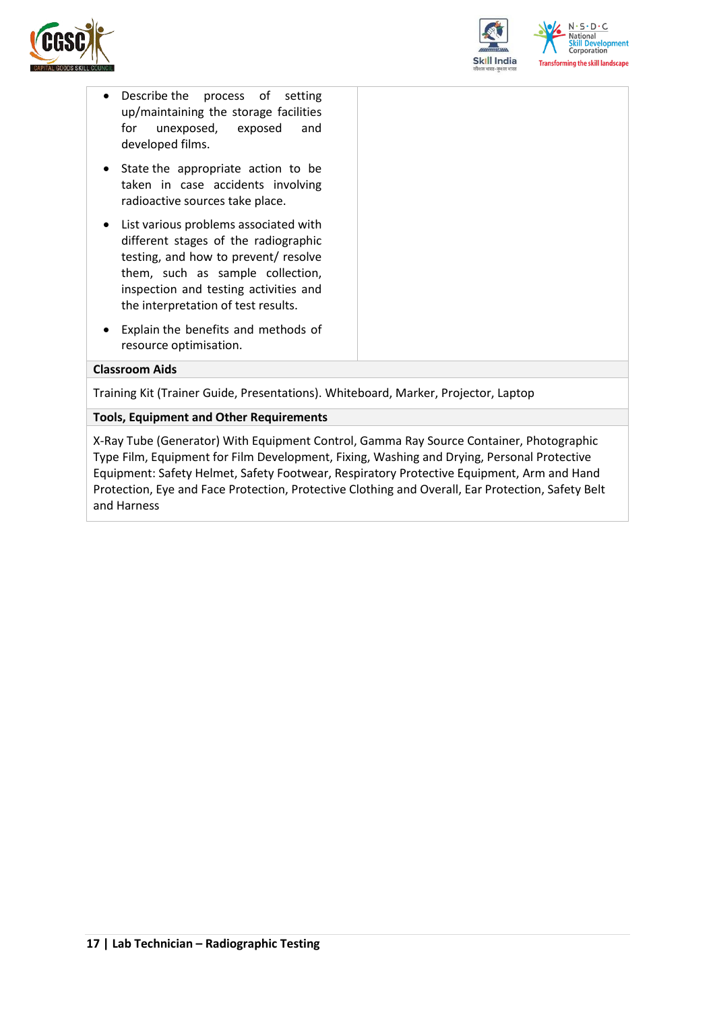



- Describe the process of setting up/maintaining the storage facilities for unexposed, exposed and developed films.
- State the appropriate action to be taken in case accidents involving radioactive sources take place.
- List various problems associated with different stages of the radiographic testing, and how to prevent/ resolve them, such as sample collection, inspection and testing activities and the interpretation of test results.
- Explain the benefits and methods of resource optimisation.

#### **Classroom Aids**

Training Kit (Trainer Guide, Presentations). Whiteboard, Marker, Projector, Laptop

**Tools, Equipment and Other Requirements** 

<span id="page-16-0"></span>X-Ray Tube (Generator) With Equipment Control, Gamma Ray Source Container, Photographic Type Film, Equipment for Film Development, Fixing, Washing and Drying, Personal Protective Equipment: Safety Helmet, Safety Footwear, Respiratory Protective Equipment, Arm and Hand Protection, Eye and Face Protection, Protective Clothing and Overall, Ear Protection, Safety Belt and Harness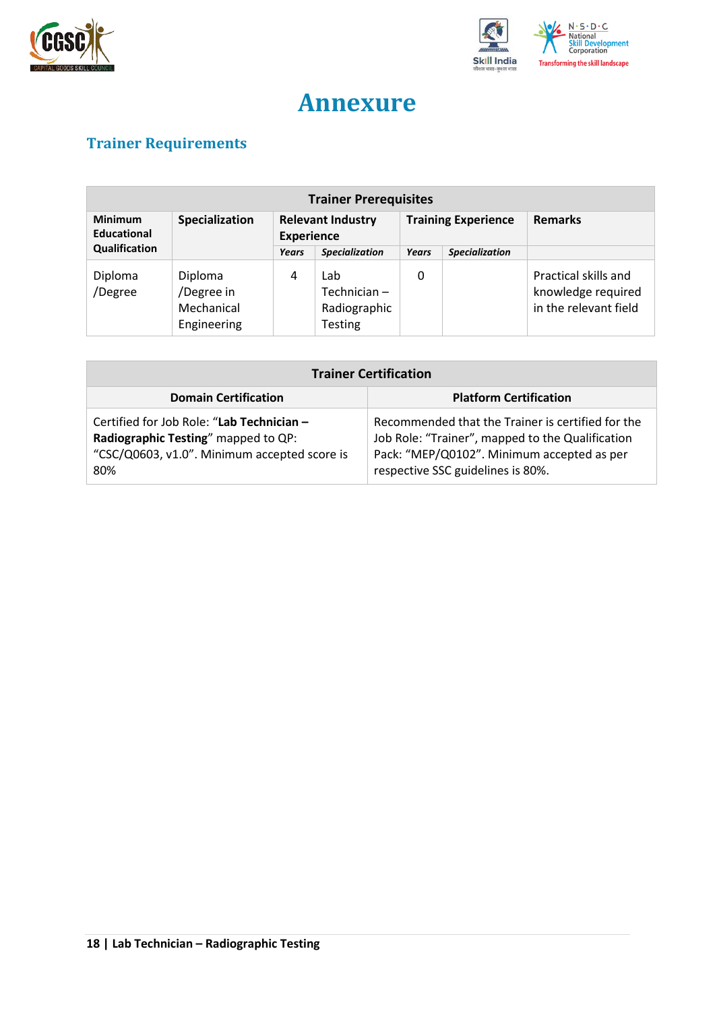



## **Annexure**

## <span id="page-17-0"></span>**Trainer Requirements**

| <b>Trainer Prerequisites</b>         |                                                    |                                               |                                                      |                            |                       |                                                                     |  |
|--------------------------------------|----------------------------------------------------|-----------------------------------------------|------------------------------------------------------|----------------------------|-----------------------|---------------------------------------------------------------------|--|
| <b>Minimum</b><br><b>Educational</b> | Specialization                                     | <b>Relevant Industry</b><br><b>Experience</b> |                                                      | <b>Training Experience</b> |                       | <b>Remarks</b>                                                      |  |
| Qualification                        |                                                    | Years                                         | <b>Specialization</b>                                | Years                      | <b>Specialization</b> |                                                                     |  |
| Diploma<br>/Degree                   | Diploma<br>/Degree in<br>Mechanical<br>Engineering | 4                                             | Lab<br>Technician-<br>Radiographic<br><b>Testing</b> | 0                          |                       | Practical skills and<br>knowledge required<br>in the relevant field |  |

| <b>Trainer Certification</b>                                                                                                            |                                                                                                                                                                                          |  |  |  |
|-----------------------------------------------------------------------------------------------------------------------------------------|------------------------------------------------------------------------------------------------------------------------------------------------------------------------------------------|--|--|--|
| <b>Platform Certification</b><br><b>Domain Certification</b>                                                                            |                                                                                                                                                                                          |  |  |  |
| Certified for Job Role: "Lab Technician -<br>Radiographic Testing" mapped to QP:<br>"CSC/Q0603, v1.0". Minimum accepted score is<br>80% | Recommended that the Trainer is certified for the<br>Job Role: "Trainer", mapped to the Qualification<br>Pack: "MEP/Q0102". Minimum accepted as per<br>respective SSC guidelines is 80%. |  |  |  |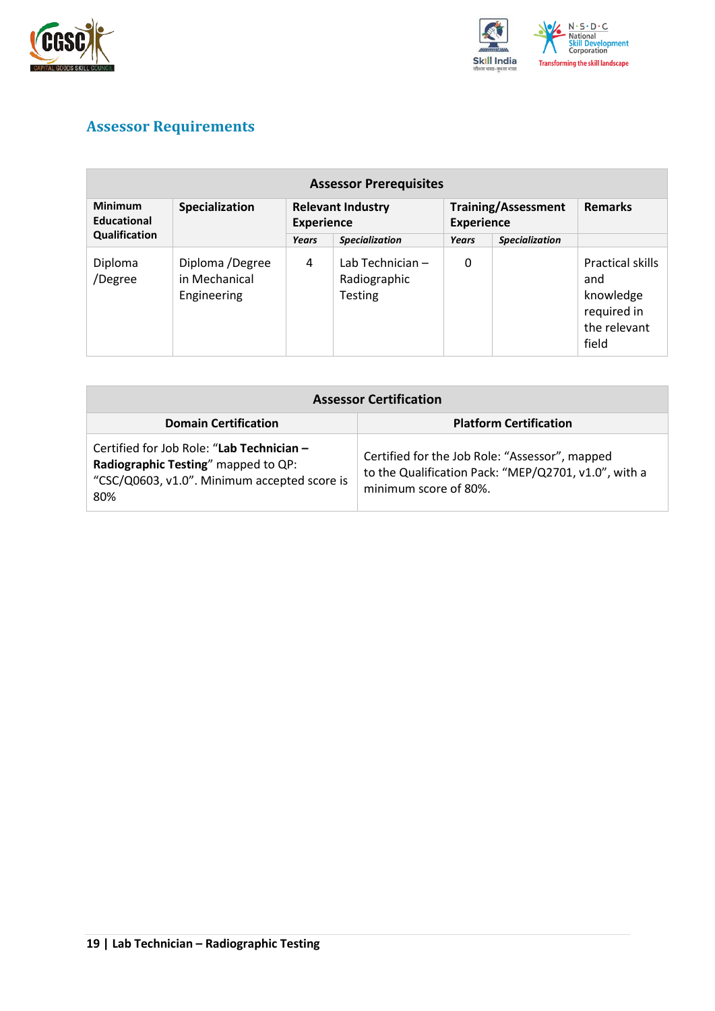



## <span id="page-18-0"></span>**Assessor Requirements**

| <b>Assessor Prerequisites</b> |                                                 |                                               |                                                    |                                                 |                       |                                                                              |
|-------------------------------|-------------------------------------------------|-----------------------------------------------|----------------------------------------------------|-------------------------------------------------|-----------------------|------------------------------------------------------------------------------|
| <b>Minimum</b><br>Educational | Specialization                                  | <b>Relevant Industry</b><br><b>Experience</b> |                                                    | <b>Training/Assessment</b><br><b>Experience</b> |                       | <b>Remarks</b>                                                               |
| Qualification                 |                                                 | Years                                         | <b>Specialization</b>                              | Years                                           | <b>Specialization</b> |                                                                              |
| Diploma<br>/Degree            | Diploma /Degree<br>in Mechanical<br>Engineering | 4                                             | Lab Technician -<br>Radiographic<br><b>Testing</b> | 0                                               |                       | Practical skills<br>and<br>knowledge<br>required in<br>the relevant<br>field |

| <b>Assessor Certification</b>                                                                                                           |                                                                                                                                 |  |
|-----------------------------------------------------------------------------------------------------------------------------------------|---------------------------------------------------------------------------------------------------------------------------------|--|
| <b>Domain Certification</b>                                                                                                             | <b>Platform Certification</b>                                                                                                   |  |
| Certified for Job Role: "Lab Technician -<br>Radiographic Testing" mapped to QP:<br>"CSC/Q0603, v1.0". Minimum accepted score is<br>80% | Certified for the Job Role: "Assessor", mapped<br>to the Qualification Pack: "MEP/Q2701, v1.0", with a<br>minimum score of 80%. |  |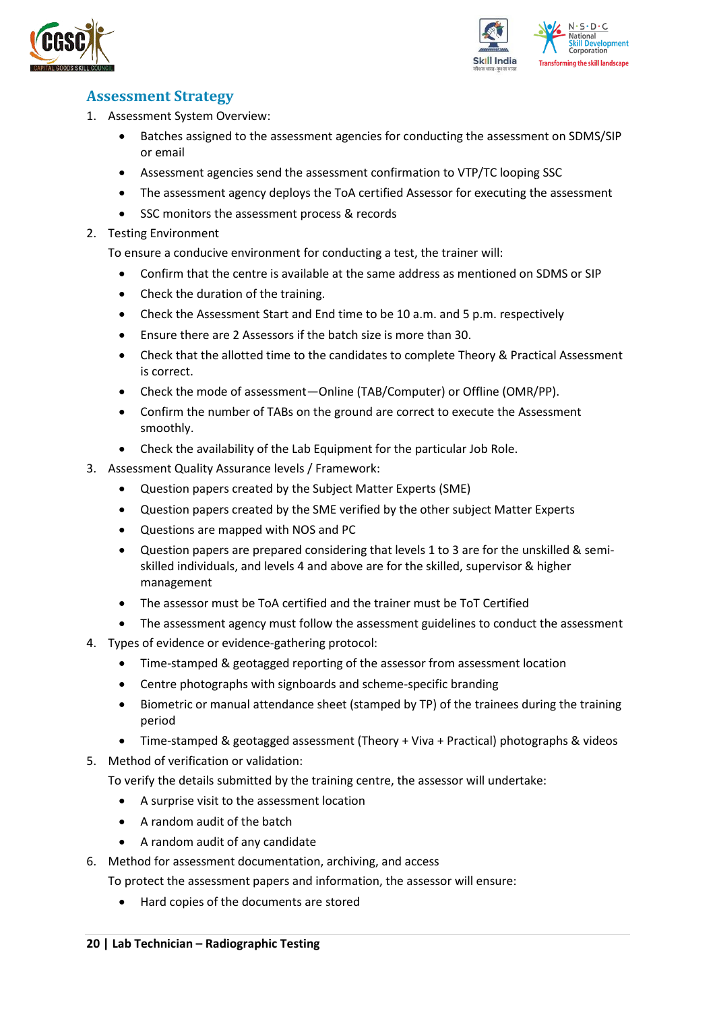



### <span id="page-19-0"></span>**Assessment Strategy**

- 1. Assessment System Overview:
	- Batches assigned to the assessment agencies for conducting the assessment on SDMS/SIP or email
	- Assessment agencies send the assessment confirmation to VTP/TC looping SSC
	- The assessment agency deploys the ToA certified Assessor for executing the assessment
	- SSC monitors the assessment process & records
- 2. Testing Environment

To ensure a conducive environment for conducting a test, the trainer will:

- Confirm that the centre is available at the same address as mentioned on SDMS or SIP
- Check the duration of the training.
- Check the Assessment Start and End time to be 10 a.m. and 5 p.m. respectively
- Ensure there are 2 Assessors if the batch size is more than 30.
- Check that the allotted time to the candidates to complete Theory & Practical Assessment is correct.
- Check the mode of assessment—Online (TAB/Computer) or Offline (OMR/PP).
- Confirm the number of TABs on the ground are correct to execute the Assessment smoothly.
- Check the availability of the Lab Equipment for the particular Job Role.
- 3. Assessment Quality Assurance levels / Framework:
	- Question papers created by the Subject Matter Experts (SME)
	- Question papers created by the SME verified by the other subject Matter Experts
	- Questions are mapped with NOS and PC
	- Question papers are prepared considering that levels 1 to 3 are for the unskilled & semiskilled individuals, and levels 4 and above are for the skilled, supervisor & higher management
	- The assessor must be ToA certified and the trainer must be ToT Certified
	- The assessment agency must follow the assessment guidelines to conduct the assessment
- 4. Types of evidence or evidence-gathering protocol:
	- Time-stamped & geotagged reporting of the assessor from assessment location
	- Centre photographs with signboards and scheme-specific branding
	- Biometric or manual attendance sheet (stamped by TP) of the trainees during the training period
	- Time-stamped & geotagged assessment (Theory + Viva + Practical) photographs & videos
- 5. Method of verification or validation:

To verify the details submitted by the training centre, the assessor will undertake:

- A surprise visit to the assessment location
- A random audit of the batch
- A random audit of any candidate
- 6. Method for assessment documentation, archiving, and access
	- To protect the assessment papers and information, the assessor will ensure:
		- Hard copies of the documents are stored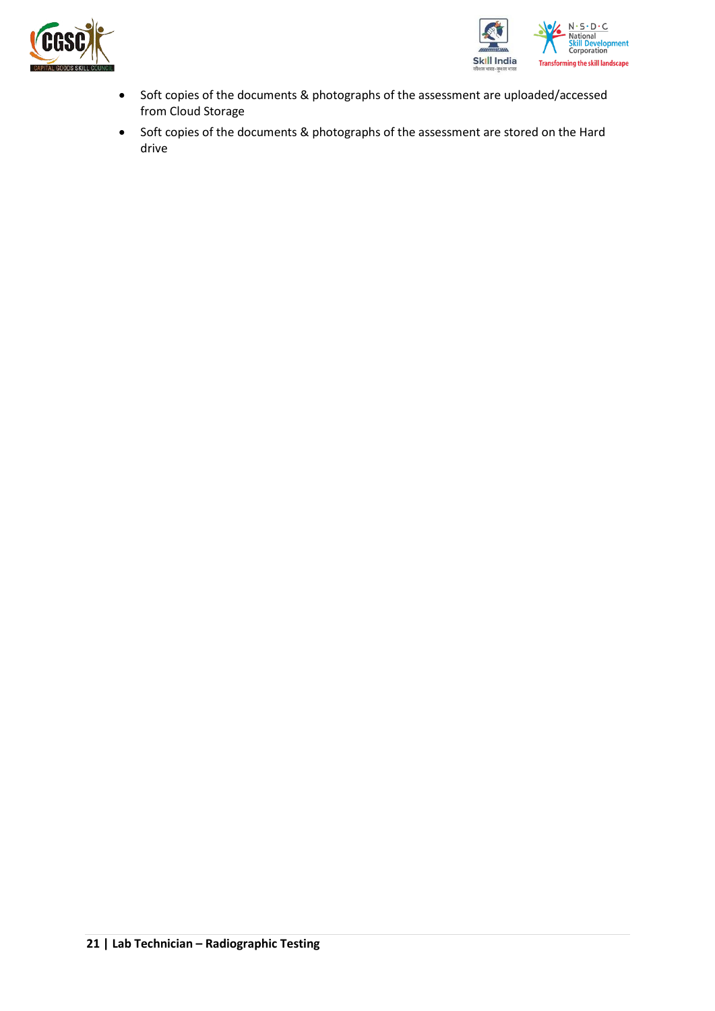



- Soft copies of the documents & photographs of the assessment are uploaded/accessed from Cloud Storage
- Soft copies of the documents & photographs of the assessment are stored on the Hard drive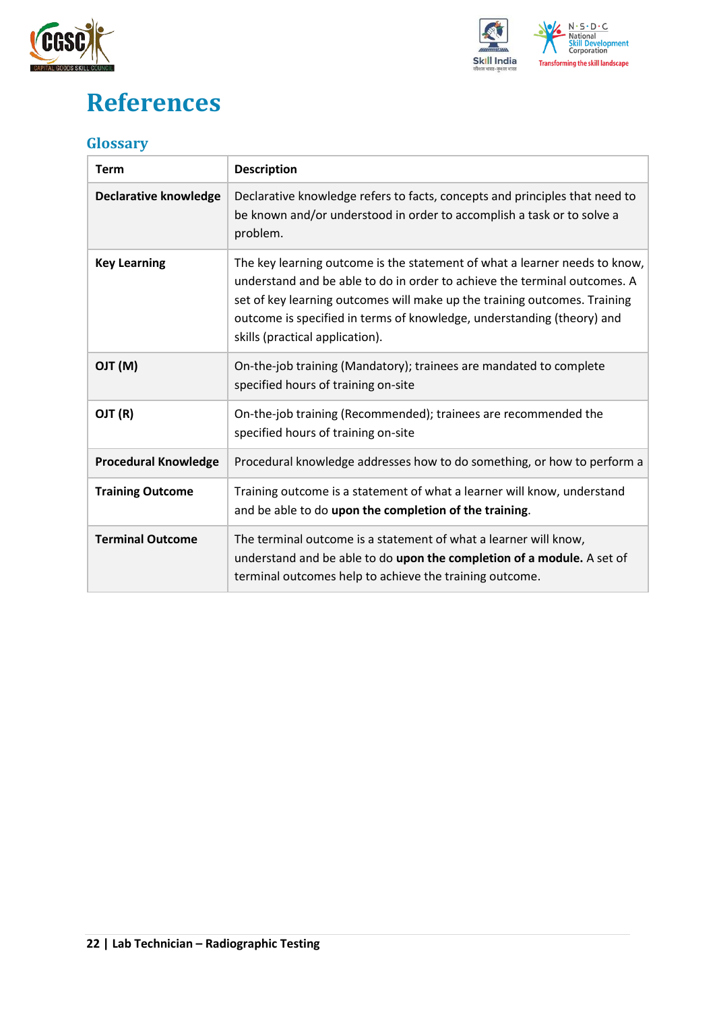



## <span id="page-21-0"></span>**References**

### <span id="page-21-1"></span>**Glossary**

| <b>Term</b>                  | <b>Description</b>                                                                                                                                                                                                                                                                                                                                |
|------------------------------|---------------------------------------------------------------------------------------------------------------------------------------------------------------------------------------------------------------------------------------------------------------------------------------------------------------------------------------------------|
| <b>Declarative knowledge</b> | Declarative knowledge refers to facts, concepts and principles that need to<br>be known and/or understood in order to accomplish a task or to solve a<br>problem.                                                                                                                                                                                 |
| <b>Key Learning</b>          | The key learning outcome is the statement of what a learner needs to know,<br>understand and be able to do in order to achieve the terminal outcomes. A<br>set of key learning outcomes will make up the training outcomes. Training<br>outcome is specified in terms of knowledge, understanding (theory) and<br>skills (practical application). |
| (M) TLO                      | On-the-job training (Mandatory); trainees are mandated to complete<br>specified hours of training on-site                                                                                                                                                                                                                                         |
| OJT (R)                      | On-the-job training (Recommended); trainees are recommended the<br>specified hours of training on-site                                                                                                                                                                                                                                            |
| <b>Procedural Knowledge</b>  | Procedural knowledge addresses how to do something, or how to perform a                                                                                                                                                                                                                                                                           |
| <b>Training Outcome</b>      | Training outcome is a statement of what a learner will know, understand<br>and be able to do upon the completion of the training.                                                                                                                                                                                                                 |
| <b>Terminal Outcome</b>      | The terminal outcome is a statement of what a learner will know,<br>understand and be able to do upon the completion of a module. A set of<br>terminal outcomes help to achieve the training outcome.                                                                                                                                             |